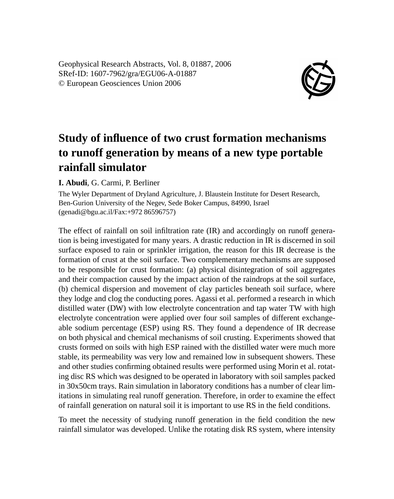Geophysical Research Abstracts, Vol. 8, 01887, 2006 SRef-ID: 1607-7962/gra/EGU06-A-01887 © European Geosciences Union 2006



## **Study of influence of two crust formation mechanisms to runoff generation by means of a new type portable rainfall simulator**

## **I. Abudi**, G. Carmi, P. Berliner

The Wyler Department of Dryland Agriculture, J. Blaustein Institute for Desert Research, Ben-Gurion University of the Negev, Sede Boker Campus, 84990, Israel (genadi@bgu.ac.il/Fax:+972 86596757)

The effect of rainfall on soil infiltration rate (IR) and accordingly on runoff generation is being investigated for many years. A drastic reduction in IR is discerned in soil surface exposed to rain or sprinkler irrigation, the reason for this IR decrease is the formation of crust at the soil surface. Two complementary mechanisms are supposed to be responsible for crust formation: (a) physical disintegration of soil aggregates and their compaction caused by the impact action of the raindrops at the soil surface, (b) chemical dispersion and movement of clay particles beneath soil surface, where they lodge and clog the conducting pores. Agassi et al. performed a research in which distilled water (DW) with low electrolyte concentration and tap water TW with high electrolyte concentration were applied over four soil samples of different exchangeable sodium percentage (ESP) using RS. They found a dependence of IR decrease on both physical and chemical mechanisms of soil crusting. Experiments showed that crusts formed on soils with high ESP rained with the distilled water were much more stable, its permeability was very low and remained low in subsequent showers. These and other studies confirming obtained results were performed using Morin et al. rotating disc RS which was designed to be operated in laboratory with soil samples packed in 30x50cm trays. Rain simulation in laboratory conditions has a number of clear limitations in simulating real runoff generation. Therefore, in order to examine the effect of rainfall generation on natural soil it is important to use RS in the field conditions.

To meet the necessity of studying runoff generation in the field condition the new rainfall simulator was developed. Unlike the rotating disk RS system, where intensity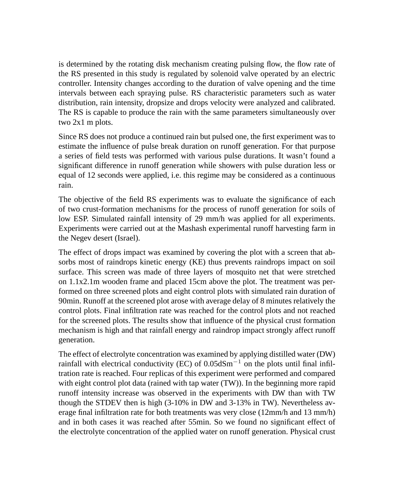is determined by the rotating disk mechanism creating pulsing flow, the flow rate of the RS presented in this study is regulated by solenoid valve operated by an electric controller. Intensity changes according to the duration of valve opening and the time intervals between each spraying pulse. RS characteristic parameters such as water distribution, rain intensity, dropsize and drops velocity were analyzed and calibrated. The RS is capable to produce the rain with the same parameters simultaneously over two 2x1 m plots.

Since RS does not produce a continued rain but pulsed one, the first experiment was to estimate the influence of pulse break duration on runoff generation. For that purpose a series of field tests was performed with various pulse durations. It wasn't found a significant difference in runoff generation while showers with pulse duration less or equal of 12 seconds were applied, i.e. this regime may be considered as a continuous rain.

The objective of the field RS experiments was to evaluate the significance of each of two crust-formation mechanisms for the process of runoff generation for soils of low ESP. Simulated rainfall intensity of 29 mm/h was applied for all experiments. Experiments were carried out at the Mashash experimental runoff harvesting farm in the Negev desert (Israel).

The effect of drops impact was examined by covering the plot with a screen that absorbs most of raindrops kinetic energy (KE) thus prevents raindrops impact on soil surface. This screen was made of three layers of mosquito net that were stretched on 1.1x2.1m wooden frame and placed 15cm above the plot. The treatment was performed on three screened plots and eight control plots with simulated rain duration of 90min. Runoff at the screened plot arose with average delay of 8 minutes relatively the control plots. Final infiltration rate was reached for the control plots and not reached for the screened plots. The results show that influence of the physical crust formation mechanism is high and that rainfall energy and raindrop impact strongly affect runoff generation.

The effect of electrolyte concentration was examined by applying distilled water (DW) rainfall with electrical conductivity (EC) of  $0.05dSm^{-1}$  on the plots until final infiltration rate is reached. Four replicas of this experiment were performed and compared with eight control plot data (rained with tap water (TW)). In the beginning more rapid runoff intensity increase was observed in the experiments with DW than with TW though the STDEV then is high (3-10% in DW and 3-13% in TW). Nevertheless average final infiltration rate for both treatments was very close (12mm/h and 13 mm/h) and in both cases it was reached after 55min. So we found no significant effect of the electrolyte concentration of the applied water on runoff generation. Physical crust